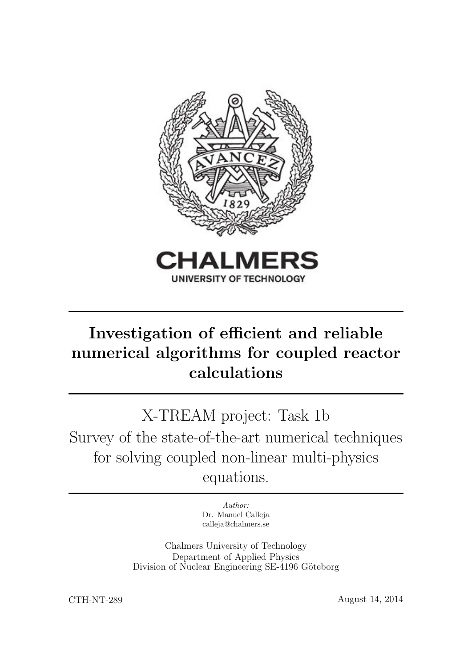

# Investigation of efficient and reliable numerical algorithms for coupled reactor calculations

X-TREAM project: Task 1b Survey of the state-of-the-art numerical techniques for solving coupled non-linear multi-physics equations.

> Author: Dr. Manuel Calleja calleja@chalmers.se

Chalmers University of Technology Department of Applied Physics Division of Nuclear Engineering SE-4196 Göteborg

CTH-NT-289 August 14, 2014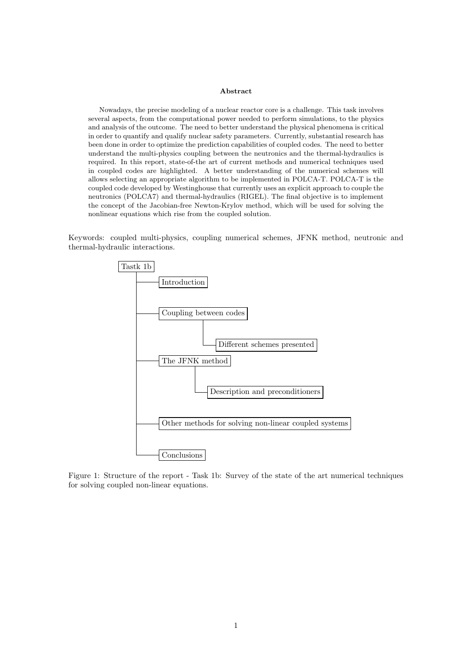#### Abstract

Nowadays, the precise modeling of a nuclear reactor core is a challenge. This task involves several aspects, from the computational power needed to perform simulations, to the physics and analysis of the outcome. The need to better understand the physical phenomena is critical in order to quantify and qualify nuclear safety parameters. Currently, substantial research has been done in order to optimize the prediction capabilities of coupled codes. The need to better understand the multi-physics coupling between the neutronics and the thermal-hydraulics is required. In this report, state-of-the art of current methods and numerical techniques used in coupled codes are highlighted. A better understanding of the numerical schemes will allows selecting an appropriate algorithm to be implemented in POLCA-T. POLCA-T is the coupled code developed by Westinghouse that currently uses an explicit approach to couple the neutronics (POLCA7) and thermal-hydraulics (RIGEL). The final objective is to implement the concept of the Jacobian-free Newton-Krylov method, which will be used for solving the nonlinear equations which rise from the coupled solution.

Keywords: coupled multi-physics, coupling numerical schemes, JFNK method, neutronic and thermal-hydraulic interactions.



<span id="page-1-0"></span>Figure 1: Structure of the report - Task 1b: Survey of the state of the art numerical techniques for solving coupled non-linear equations.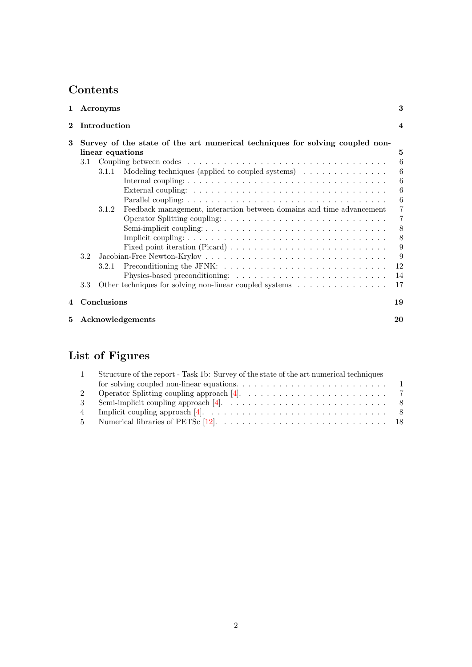## Contents

| 1                |     | Acronyms         |                                                                                               | 3                |
|------------------|-----|------------------|-----------------------------------------------------------------------------------------------|------------------|
| $\bf{2}$         |     | Introduction     |                                                                                               | $\boldsymbol{4}$ |
| 3                |     |                  | Survey of the state of the art numerical techniques for solving coupled non-                  |                  |
|                  |     | linear equations |                                                                                               | 5                |
|                  | 3.1 |                  |                                                                                               | 6                |
|                  |     | 3.1.1            | Modeling techniques (applied to coupled systems) $\dots \dots \dots \dots$                    | 6                |
|                  |     |                  |                                                                                               | 6                |
|                  |     |                  |                                                                                               | 6                |
|                  |     |                  |                                                                                               | 6                |
|                  |     | 3.1.2            | Feedback management, interaction between domains and time advancement                         | $\overline{7}$   |
|                  |     |                  |                                                                                               | $\overline{7}$   |
|                  |     |                  |                                                                                               | 8                |
|                  |     |                  |                                                                                               | 8                |
|                  |     |                  |                                                                                               | 9                |
|                  | 3.2 |                  |                                                                                               | 9                |
|                  |     | 3.2.1            | Preconditioning the JFNK: $\dots \dots \dots \dots \dots \dots \dots \dots \dots \dots \dots$ | 12               |
|                  |     |                  |                                                                                               | 14               |
|                  | 3.3 |                  | Other techniques for solving non-linear coupled systems $\dots \dots \dots \dots \dots$       | 17               |
| $\boldsymbol{4}$ |     | Conclusions      |                                                                                               | 19               |
| 5                |     |                  | Acknowledgements                                                                              | 20               |

## List of Figures

| Structure of the report - Task 1b: Survey of the state of the art numerical techniques                |
|-------------------------------------------------------------------------------------------------------|
|                                                                                                       |
| Operator Splitting coupling approach [4]. $\ldots \ldots \ldots \ldots \ldots \ldots \ldots \ldots$ 7 |
|                                                                                                       |
|                                                                                                       |
|                                                                                                       |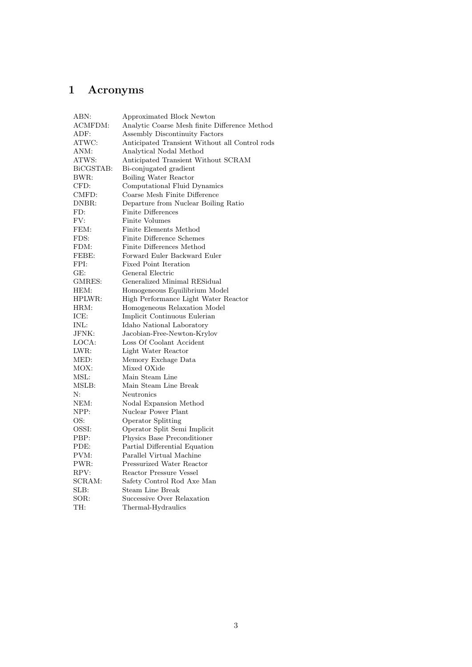## <span id="page-3-0"></span>1 Acronyms

| ABN:      | Approximated Block Newton                      |
|-----------|------------------------------------------------|
| ACMFDM:   | Analytic Coarse Mesh finite Difference Method  |
| ADF:      | Assembly Discontinuity Factors                 |
| ATWC:     | Anticipated Transient Without all Control rods |
| ANM:      | Analytical Nodal Method                        |
| ATWS:     | Anticipated Transient Without SCRAM            |
| BiCGSTAB: | Bi-conjugated gradient                         |
| BWR:      | Boiling Water Reactor                          |
| CFD:      | Computational Fluid Dynamics                   |
| CMFD:     | Coarse Mesh Finite Difference                  |
| DNBR:     | Departure from Nuclear Boiling Ratio           |
| FD:       | <b>Finite Differences</b>                      |
| FV:       | <b>Finite Volumes</b>                          |
| FEM:      | Finite Elements Method                         |
| FDS:      | Finite Difference Schemes                      |
| FDM:      | Finite Differences Method                      |
| FEBE:     | Forward Euler Backward Euler                   |
| FPI:      | Fixed Point Iteration                          |
| GE:       | General Electric                               |
| GMRES:    | Generalized Minimal RESidual                   |
| HEM:      | Homogeneous Equilibrium Model                  |
| HPLWR:    | High Performance Light Water Reactor           |
| HRM:      | Homogeneous Relaxation Model                   |
| ICE:      | Implicit Continuous Eulerian                   |
| INL:      | Idaho National Laboratory                      |
| JFNK:     | Jacobian-Free-Newton-Krylov                    |
| LOCA:     | Loss Of Coolant Accident                       |
| LWR:      | Light Water Reactor                            |
| MED:      | Memory Exchage Data                            |
| MOX:      | Mixed OXide                                    |
| MSL:      | Main Steam Line                                |
| MSLB:     | Main Steam Line Break                          |
| N:        | Neutronics                                     |
| NEM:      | Nodal Expansion Method                         |
| NPP:      | Nuclear Power Plant                            |
| OS:       | <b>Operator Splitting</b>                      |
| OSSI:     | Operator Split Semi Implicit                   |
| PBP:      | Physics Base Preconditioner                    |
| PDE:      | Partial Differential Equation                  |
| PVM:      | Parallel Virtual Machine                       |
| PWR:      | Pressurized Water Reactor                      |
| RPV:      | <b>Reactor Pressure Vessel</b>                 |
| SCRAM:    | Safety Control Rod Axe Man                     |
| SLB:      | Steam Line Break                               |
| SOR:      | Successive Over Relaxation                     |
| TH:       | Thermal-Hydraulics                             |
|           |                                                |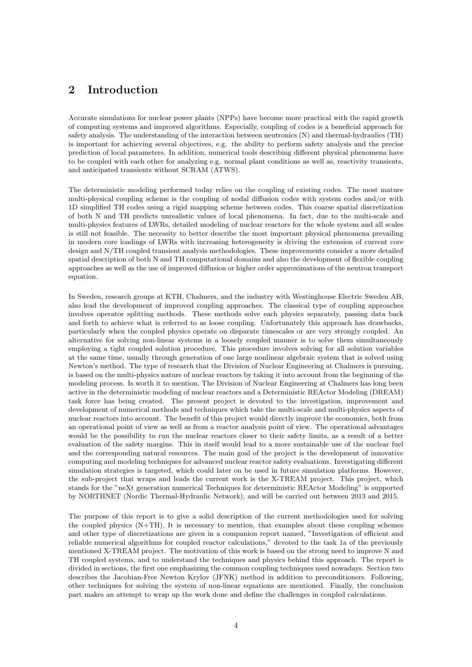## <span id="page-4-0"></span>2 Introduction

Accurate simulations for nuclear power plants (NPPs) have become more practical with the rapid growth of computing systems and improved algorithms. Especially, coupling of codes is a beneficial approach for safety analysis. The understanding of the interaction between neutronics (N) and thermal-hydraulics (TH) is important for achieving several objectives, e.g. the ability to perform safety analysis and the precise prediction of local parameters. In addition, numerical tools describing different physical phenomena have to be coupled with each other for analyzing e.g. normal plant conditions as well as, reactivity transients, and anticipated transients without SCRAM (ATWS).

The deterministic modeling performed today relies on the coupling of existing codes. The most mature multi-physical coupling scheme is the coupling of nodal diffusion codes with system codes and/or with 1D simplified TH codes using a rigid mapping scheme between codes. This coarse spatial discretization of both N and TH predicts unrealistic values of local phenomena. In fact, due to the multi-scale and multi-physics features of LWRs, detailed modeling of nuclear reactors for the whole system and all scales is still not feasible. The necessity to better describe the most important physical phenomena prevailing in modern core loadings of LWRs with increasing heterogeneity is driving the extension of current core design and N/TH coupled transient analysis methodologies. These improvements consider a more detailed spatial description of both N and TH computational domains and also the development of flexible coupling approaches as well as the use of improved diffusion or higher order approximations of the neutron transport equation.

In Sweden, research groups at KTH, Chalmers, and the industry with Westinghouse Electric Sweden AB, also lead the development of improved coupling approaches. The classical type of coupling approaches involves operator splitting methods. These methods solve each physics separately, passing data back and forth to achieve what is referred to as loose coupling. Unfortunately this approach has drawbacks, particularly when the coupled physics operate on disparate timescales or are very strongly coupled. An alternative for solving non-linear systems in a loosely coupled manner is to solve them simultaneously employing a tight coupled solution procedure. This procedure involves solving for all solution variables at the same time, usually through generation of one large nonlinear algebraic system that is solved using Newton's method. The type of research that the Division of Nuclear Engineering at Chalmers is pursuing, is based on the multi-physics nature of nuclear reactors by taking it into account from the beginning of the modeling process. Is worth it to mention, The Division of Nuclear Engineering at Chalmers has long been active in the deterministic modeling of nuclear reactors and a Deterministic REActor Modeling (DREAM) task force has being created. The present project is devoted to the investigation, improvement and development of numerical methods and techniques which take the multi-scale and multi-physics aspects of nuclear reactors into account. The benefit of this project would directly improve the economics, both from an operational point of view as well as from a reactor analysis point of view. The operational advantages would be the possibility to run the nuclear reactors closer to their safety limits, as a result of a better evaluation of the safety margins. This in itself would lead to a more sustainable use of the nuclear fuel and the corresponding natural resources. The main goal of the project is the development of innovative computing and modeling techniques for advanced nuclear reactor safety evaluations. Investigating different simulation strategies is targeted, which could later on be used in future simulation platforms. However, the sub-project that wraps and leads the current work is the X-TREAM project. This project, which stands for the "neXt generation numerical Techniques for deterministic REActor Modeling" is supported by NORTHNET (Nordic Thermal-Hydraulic Network), and will be carried out between 2013 and 2015.

The purpose of this report is to give a solid description of the current methodologies used for solving the coupled physics (N+TH). It is necessary to mention, that examples about these coupling schemes and other type of discretizations are given in a companion report named, "Investigation of efficient and reliable numerical algorithms for coupled reactor calculations," devoted to the task 1a of the previously mentioned X-TREAM project. The motivation of this work is based on the strong need to improve N and TH coupled systems, and to understand the techniques and physics behind this approach. The report is divided in sections, the first one emphasizing the common coupling techniques used nowadays. Section two describes the Jacobian-Free Newton Krylov (JFNK) method in addition to preconditioners. Following, other techniques for solving the system of non-linear equations are mentioned. Finally, the conclusion part makes an attempt to wrap up the work done and define the challenges in coupled calculations.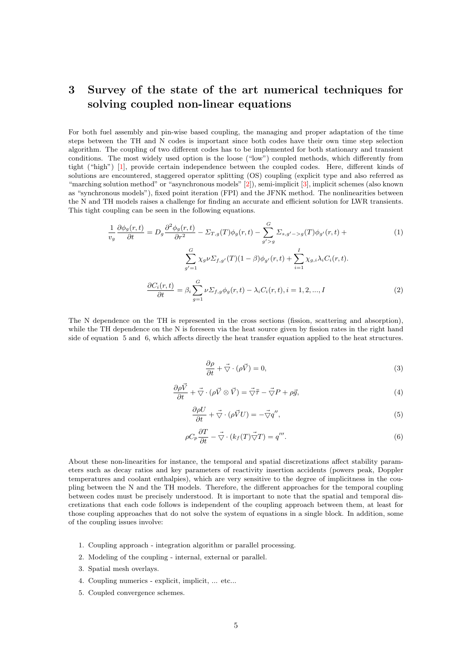## <span id="page-5-0"></span>3 Survey of the state of the art numerical techniques for solving coupled non-linear equations

For both fuel assembly and pin-wise based coupling, the managing and proper adaptation of the time steps between the TH and N codes is important since both codes have their own time step selection algorithm. The coupling of two different codes has to be implemented for both stationary and transient conditions. The most widely used option is the loose ("low") coupled methods, which differently from tight ("high") [\[1\]](#page-21-2), provide certain independence between the coupled codes. Here, different kinds of solutions are encountered, staggered operator splitting (OS) coupling (explicit type and also referred as "marching solution method" or "asynchronous models" [\[2\]](#page-21-3)), semi-implicit [\[3\]](#page-21-4), implicit schemes (also known as "synchronous models"), fixed point iteration (FPI) and the JFNK method. The nonlinearities between the N and TH models raises a challenge for finding an accurate and efficient solution for LWR transients. This tight coupling can be seen in the following equations.

$$
\frac{1}{v_g} \frac{\partial \phi_g(r,t)}{\partial t} = D_g \frac{\partial^2 \phi_g(r,t)}{\partial r^2} - \Sigma_{T,g}(T)\phi_g(r,t) - \sum_{g' > g}^G \Sigma_{s,g' - g}(T)\phi_{g'}(r,t) + \sum_{g'=1}^G \chi_g \nu \Sigma_{f,g'}(T)(1-\beta)\phi_{g'}(r,t) + \sum_{i=1}^I \chi_{g,i}\lambda_i C_i(r,t).
$$
\n
$$
\frac{\partial C_i(r,t)}{\partial t} = \beta_i \sum_{g=1}^G \nu \Sigma_{f,g} \phi_g(r,t) - \lambda_i C_i(r,t), i = 1, 2, ..., I
$$
\n(2)

The N dependence on the TH is represented in the cross sections (fission, scattering and absorption), while the TH dependence on the N is foreseen via the heat source given by fission rates in the right hand side of equation [5](#page-5-1) and [6,](#page-5-2) which affects directly the heat transfer equation applied to the heat structures.

$$
\frac{\partial \rho}{\partial t} + \vec{\nabla} \cdot (\rho \vec{V}) = 0,\tag{3}
$$

$$
\frac{\partial \rho \vec{V}}{\partial t} + \vec{\nabla} \cdot (\rho \vec{V} \otimes \vec{V}) = \vec{\nabla} \bar{\vec{\tau}} - \vec{\nabla} P + \rho \vec{g},\tag{4}
$$

$$
\frac{\partial \rho U}{\partial t} + \vec{\nabla} \cdot (\rho \vec{V} U) = -\vec{\nabla} q'',\tag{5}
$$

$$
\rho C_p \frac{\partial T}{\partial t} - \vec{\nabla} \cdot (k_f(T) \vec{\nabla} T) = q'''.
$$
\n(6)

<span id="page-5-2"></span><span id="page-5-1"></span>About these non-linearities for instance, the temporal and spatial discretizations affect stability parameters such as decay ratios and key parameters of reactivity insertion accidents (powers peak, Doppler temperatures and coolant enthalpies), which are very sensitive to the degree of implicitness in the coupling between the N and the TH models. Therefore, the different approaches for the temporal coupling between codes must be precisely understood. It is important to note that the spatial and temporal discretizations that each code follows is independent of the coupling approach between them, at least for those coupling approaches that do not solve the system of equations in a single block. In addition, some of the coupling issues involve:

- 1. Coupling approach integration algorithm or parallel processing.
- 2. Modeling of the coupling internal, external or parallel.
- 3. Spatial mesh overlays.
- 4. Coupling numerics explicit, implicit, ... etc...
- 5. Coupled convergence schemes.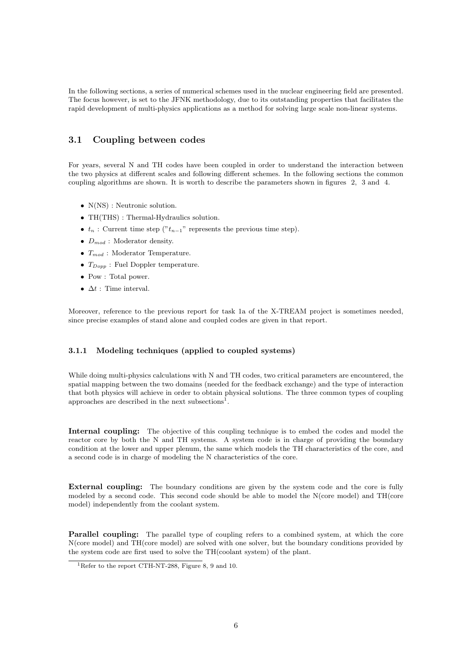In the following sections, a series of numerical schemes used in the nuclear engineering field are presented. The focus however, is set to the JFNK methodology, due to its outstanding properties that facilitates the rapid development of multi-physics applications as a method for solving large scale non-linear systems.

### <span id="page-6-0"></span>3.1 Coupling between codes

For years, several N and TH codes have been coupled in order to understand the interaction between the two physics at different scales and following different schemes. In the following sections the common coupling algorithms are shown. It is worth to describe the parameters shown in figures [2,](#page-7-2) [3](#page-8-2) and [4.](#page-8-3)

- $N(NS)$ : Neutronic solution.
- TH(THS): Thermal-Hydraulics solution.
- $t_n$ : Current time step (" $t_{n-1}$ " represents the previous time step).
- $D_{mod}$ : Moderator density.
- $T_{mod}$ : Moderator Temperature.
- $T_{Dopp}$ : Fuel Doppler temperature.
- Pow : Total power.
- $\Delta t$  : Time interval.

Moreover, reference to the previous report for task 1a of the X-TREAM project is sometimes needed, since precise examples of stand alone and coupled codes are given in that report.

#### <span id="page-6-1"></span>3.1.1 Modeling techniques (applied to coupled systems)

While doing multi-physics calculations with N and TH codes, two critical parameters are encountered, the spatial mapping between the two domains (needed for the feedback exchange) and the type of interaction that both physics will achieve in order to obtain physical solutions. The three common types of coupling approaches are described in the next subsections<sup>[1](#page-6-5)</sup>.

<span id="page-6-2"></span>Internal coupling: The objective of this coupling technique is to embed the codes and model the reactor core by both the N and TH systems. A system code is in charge of providing the boundary condition at the lower and upper plenum, the same which models the TH characteristics of the core, and a second code is in charge of modeling the N characteristics of the core.

<span id="page-6-3"></span>External coupling: The boundary conditions are given by the system code and the core is fully modeled by a second code. This second code should be able to model the N(core model) and TH(core model) independently from the coolant system.

<span id="page-6-4"></span>Parallel coupling: The parallel type of coupling refers to a combined system, at which the core N(core model) and TH(core model) are solved with one solver, but the boundary conditions provided by the system code are first used to solve the TH(coolant system) of the plant.

<span id="page-6-5"></span><sup>&</sup>lt;sup>1</sup>Refer to the report CTH-NT-288, Figure 8, 9 and 10.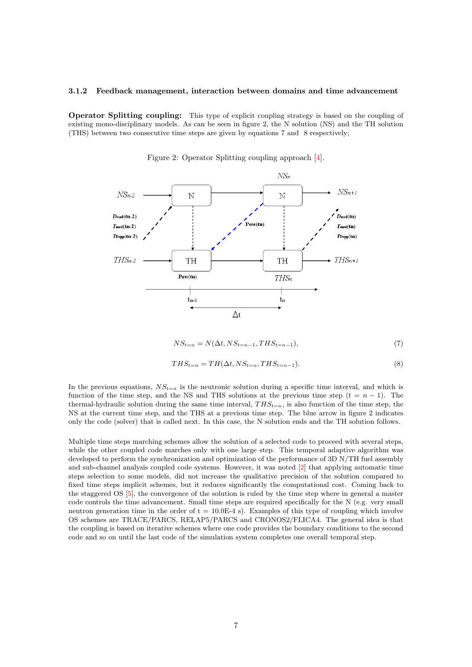#### <span id="page-7-1"></span><span id="page-7-0"></span>3.1.2 Feedback management, interaction between domains and time advancement

<span id="page-7-2"></span>Operator Splitting coupling: This type of explicit coupling strategy is based on the coupling of existing mono-disciplinary models. As can be seen in figure [2,](#page-7-2) the N solution (NS) and the TH solution (THS) between two consecutive time steps are given by equations [7](#page-7-3) and [8](#page-7-4) respectively;



Figure 2: Operator Splitting coupling approach [\[4\]](#page-21-0).

$$
NS_{t=n} = N(\Delta t, NS_{t=n-1}, THS_{t=n-1}),
$$
\n
$$
(7)
$$

$$
THS_{t=n} = TH(\Delta t, NS_{t=n}, THS_{t=n-1}).
$$
\n
$$
(8)
$$

<span id="page-7-4"></span><span id="page-7-3"></span>In the previous equations,  $NS_{t=n}$  is the neutronic solution during a specific time interval, and which is function of the time step, and the NS and THS solutions at the previous time step  $(t = n - 1)$ . The thermal-hydraulic solution during the same time interval,  $THS_{t=n}$ , is also function of the time step, the NS at the current time step, and the THS at a previous time step. The blue arrow in figure [2](#page-7-2) indicates only the code (solver) that is called next. In this case, the N solution ends and the TH solution follows.

Multiple time steps marching schemes allow the solution of a selected code to proceed with several steps, while the other coupled code marches only with one large step. This temporal adaptive algorithm was developed to perform the synchronization and optimization of the performance of 3D N/TH fuel assembly and sub-channel analysis coupled code systems. However, it was noted [\[2\]](#page-21-3) that applying automatic time steps selection to some models, did not increase the qualitative precision of the solution compared to fixed time steps implicit schemes, but it reduces significantly the computational cost. Coming back to the staggered OS [\[5\]](#page-21-5), the convergence of the solution is ruled by the time step where in general a master code controls the time advancement. Small time steps are required specifically for the N (e.g. very small neutron generation time in the order of  $t = 10.0E-4$  s). Examples of this type of coupling which involve OS schemes are TRACE/PARCS, RELAP5/PARCS and CRONOS2/FLICA4. The general idea is that the coupling is based on iterative schemes where one code provides the boundary conditions to the second code and so on until the last code of the simulation system completes one overall temporal step.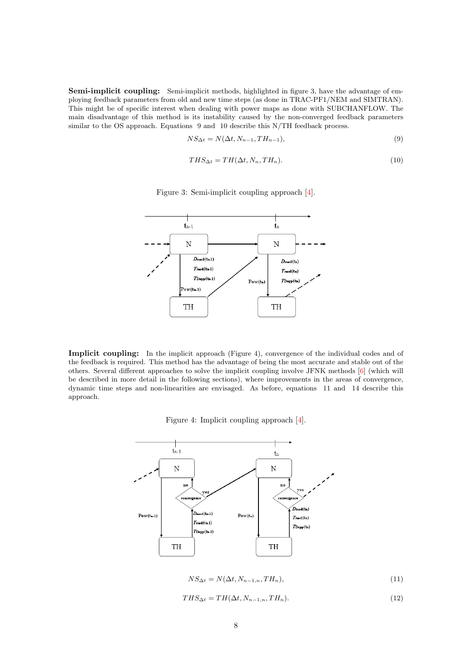<span id="page-8-5"></span><span id="page-8-0"></span>Semi-implicit coupling: Semi-implicit methods, highlighted in figure [3,](#page-8-2) have the advantage of employing feedback parameters from old and new time steps (as done in TRAC-PF1/NEM and SIMTRAN). This might be of specific interest when dealing with power maps as done with SUBCHANFLOW. The main disadvantage of this method is its instability caused by the non-converged feedback parameters similar to the OS approach. Equations [9](#page-8-4) and [10](#page-8-5) describe this N/TH feedback process.

<span id="page-8-4"></span>
$$
NS_{\Delta t} = N(\Delta t, N_{n-1}, TH_{n-1}),
$$
\n(9)

$$
THS_{\Delta t} = TH(\Delta t, N_n, TH_n). \tag{10}
$$

<span id="page-8-2"></span>

Figure 3: Semi-implicit coupling approach [\[4\]](#page-21-0).

<span id="page-8-1"></span>Implicit coupling: In the implicit approach (Figure [4\)](#page-8-3), convergence of the individual codes and of the feedback is required. This method has the advantage of being the most accurate and stable out of the others. Several different approaches to solve the implicit coupling involve JFNK methods [\[6\]](#page-21-6) (which will be described in more detail in the following sections), where improvements in the areas of convergence, dynamic time steps and non-linearities are envisaged. As before, equations [11](#page-8-6) and [14](#page-9-2) describe this approach.

Figure 4: Implicit coupling approach [\[4\]](#page-21-0).

<span id="page-8-3"></span>

$$
NS_{\Delta t} = N(\Delta t, N_{n-1,n}, TH_n),\tag{11}
$$

<span id="page-8-6"></span>
$$
THS_{\Delta t} = TH(\Delta t, N_{n-1,n}, TH_n). \tag{12}
$$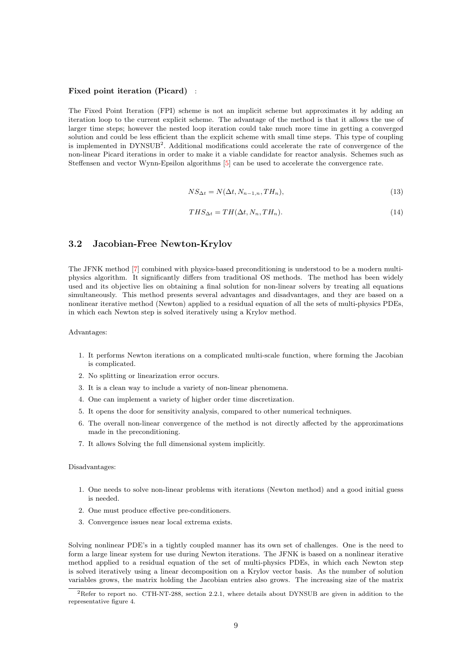#### <span id="page-9-0"></span>Fixed point iteration (Picard) :

The Fixed Point Iteration (FPI) scheme is not an implicit scheme but approximates it by adding an iteration loop to the current explicit scheme. The advantage of the method is that it allows the use of larger time steps; however the nested loop iteration could take much more time in getting a converged solution and could be less efficient than the explicit scheme with small time steps. This type of coupling is implemented in DYNSUB<sup>[2](#page-9-3)</sup>. Additional modifications could accelerate the rate of convergence of the non-linear Picard iterations in order to make it a viable candidate for reactor analysis. Schemes such as Steffensen and vector Wynn-Epsilon algorithms [\[5\]](#page-21-5) can be used to accelerate the convergence rate.

$$
NS_{\Delta t} = N(\Delta t, N_{n-1,n}, TH_n),\tag{13}
$$

$$
THS_{\Delta t} = TH(\Delta t, N_n, TH_n). \tag{14}
$$

#### <span id="page-9-2"></span><span id="page-9-1"></span>3.2 Jacobian-Free Newton-Krylov

The JFNK method [\[7\]](#page-21-7) combined with physics-based preconditioning is understood to be a modern multiphysics algorithm. It significantly differs from traditional OS methods. The method has been widely used and its objective lies on obtaining a final solution for non-linear solvers by treating all equations simultaneously. This method presents several advantages and disadvantages, and they are based on a nonlinear iterative method (Newton) applied to a residual equation of all the sets of multi-physics PDEs, in which each Newton step is solved iteratively using a Krylov method.

Advantages:

- 1. It performs Newton iterations on a complicated multi-scale function, where forming the Jacobian is complicated.
- 2. No splitting or linearization error occurs.
- 3. It is a clean way to include a variety of non-linear phenomena.
- 4. One can implement a variety of higher order time discretization.
- 5. It opens the door for sensitivity analysis, compared to other numerical techniques.
- 6. The overall non-linear convergence of the method is not directly affected by the approximations made in the preconditioning.
- 7. It allows Solving the full dimensional system implicitly.

#### Disadvantages:

- 1. One needs to solve non-linear problems with iterations (Newton method) and a good initial guess is needed.
- 2. One must produce effective pre-conditioners.
- 3. Convergence issues near local extrema exists.

Solving nonlinear PDE's in a tightly coupled manner has its own set of challenges. One is the need to form a large linear system for use during Newton iterations. The JFNK is based on a nonlinear iterative method applied to a residual equation of the set of multi-physics PDEs, in which each Newton step is solved iteratively using a linear decomposition on a Krylov vector basis. As the number of solution variables grows, the matrix holding the Jacobian entries also grows. The increasing size of the matrix

<span id="page-9-3"></span><sup>2</sup>Refer to report no. CTH-NT-288, section 2.2.1, where details about DYNSUB are given in addition to the representative figure 4.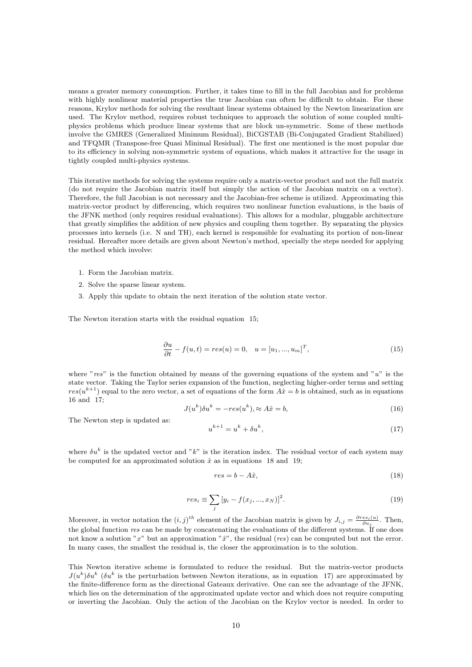means a greater memory consumption. Further, it takes time to fill in the full Jacobian and for problems with highly nonlinear material properties the true Jacobian can often be difficult to obtain. For these reasons, Krylov methods for solving the resultant linear systems obtained by the Newton linearization are used. The Krylov method, requires robust techniques to approach the solution of some coupled multiphysics problems which produce linear systems that are block un-symmetric. Some of these methods involve the GMRES (Generalized Minimum Residual), BiCGSTAB (Bi-Conjugated Gradient Stabilized) and TFQMR (Transpose-free Quasi Minimal Residual). The first one mentioned is the most popular due to its efficiency in solving non-symmetric system of equations, which makes it attractive for the usage in tightly coupled multi-physics systems.

This iterative methods for solving the systems require only a matrix-vector product and not the full matrix (do not require the Jacobian matrix itself but simply the action of the Jacobian matrix on a vector). Therefore, the full Jacobian is not necessary and the Jacobian-free scheme is utilized. Approximating this matrix-vector product by differencing, which requires two nonlinear function evaluations, is the basis of the JFNK method (only requires residual evaluations). This allows for a modular, pluggable architecture that greatly simplifies the addition of new physics and coupling them together. By separating the physics processes into kernels (i.e. N and TH), each kernel is responsible for evaluating its portion of non-linear residual. Hereafter more details are given about Newton's method, specially the steps needed for applying the method which involve:

- 1. Form the Jacobian matrix.
- 2. Solve the sparse linear system.
- 3. Apply this update to obtain the next iteration of the solution state vector.

<span id="page-10-0"></span>The Newton iteration starts with the residual equation [15;](#page-10-0)

$$
\frac{\partial u}{\partial t} - f(u, t) = res(u) = 0, \quad u = [u_1, ..., u_m]^T,
$$
\n(15)

<span id="page-10-1"></span>where " $res$ " is the function obtained by means of the governing equations of the system and " $u$ " is the state vector. Taking the Taylor series expansion of the function, neglecting higher-order terms and setting  $res(u^{k+1})$  equal to the zero vector, a set of equations of the form  $A\hat{x} = b$  is obtained, such as in equations [16](#page-10-1) and [17;](#page-10-2)

<span id="page-10-2"></span>
$$
J(u^k)\delta u^k = -res(u^k), \approx A\hat{x} = b,\tag{16}
$$

The Newton step is updated as:

$$
u^{k+1} = u^k + \delta u^k,\tag{17}
$$

where  $\delta u^k$  is the updated vector and "k" is the iteration index. The residual vector of each system may be computed for an approximated solution  $\hat{x}$  as in equations [18](#page-10-3) and [19;](#page-10-4)

<span id="page-10-3"></span>
$$
res = b - A\hat{x},\tag{18}
$$

$$
res_i \equiv \sum_j [y_i - f(x_j, ..., x_N)]^2.
$$
 (19)

<span id="page-10-4"></span>Moreover, in vector notation the  $(i, j)^{th}$  element of the Jacobian matrix is given by  $J_{i,j} = \frac{\partial res_i(u)}{\partial u_j}$ . Then, the global function res can be made by concatenating the evaluations of the different systems. If one does not know a solution " $x$ " but an approximation " $\hat{x}$ ", the residual (res) can be computed but not the error. In many cases, the smallest the residual is, the closer the approximation is to the solution.

This Newton iterative scheme is formulated to reduce the residual. But the matrix-vector products  $J(u^k)\delta u^k$  ( $\delta u^k$  is the perturbation between Newton iterations, as in equation [17\)](#page-10-2) are approximated by the finite-difference form as the directional Gateaux derivative. One can see the advantage of the JFNK, which lies on the determination of the approximated update vector and which does not require computing or inverting the Jacobian. Only the action of the Jacobian on the Krylov vector is needed. In order to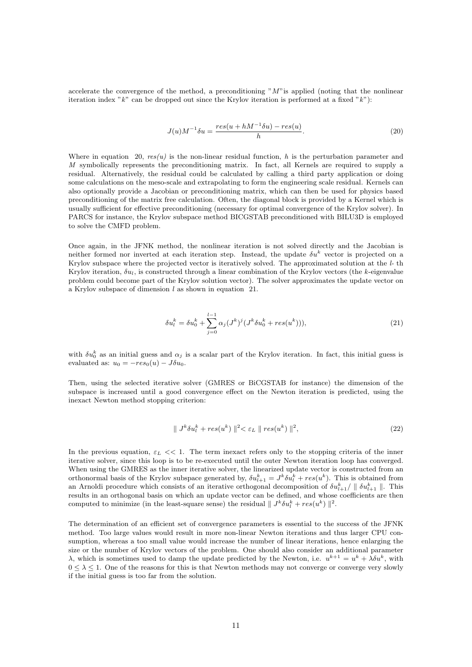<span id="page-11-0"></span>accelerate the convergence of the method, a preconditioning " $M$ " is applied (noting that the nonlinear iteration index " $k$ " can be dropped out since the Krylov iteration is performed at a fixed " $k$ "):

$$
J(u)M^{-1}\delta u = \frac{res(u+hM^{-1}\delta u) - res(u)}{h}.
$$
\n
$$
(20)
$$

Where in equation [20,](#page-11-0)  $res(u)$  is the non-linear residual function, h is the perturbation parameter and M symbolically represents the preconditioning matrix. In fact, all Kernels are required to supply a residual. Alternatively, the residual could be calculated by calling a third party application or doing some calculations on the meso-scale and extrapolating to form the engineering scale residual. Kernels can also optionally provide a Jacobian or preconditioning matrix, which can then be used for physics based preconditioning of the matrix free calculation. Often, the diagonal block is provided by a Kernel which is usually sufficient for effective preconditioning (necessary for optimal convergence of the Krylov solver). In PARCS for instance, the Krylov subspace method BICGSTAB preconditioned with BILU3D is employed to solve the CMFD problem.

<span id="page-11-1"></span>Once again, in the JFNK method, the nonlinear iteration is not solved directly and the Jacobian is neither formed nor inverted at each iteration step. Instead, the update  $\delta u^k$  vector is projected on a Krylov subspace where the projected vector is iteratively solved. The approximated solution at the l- th Krylov iteration,  $\delta u_l$ , is constructed through a linear combination of the Krylov vectors (the k-eigenvalue problem could become part of the Krylov solution vector). The solver approximates the update vector on a Krylov subspace of dimension l as shown in equation [21.](#page-11-1)

$$
\delta u_l^k = \delta u_0^k + \sum_{j=0}^{l-1} \alpha_j (J^k)^j (J^k \delta u_0^k + res(u^k))), \tag{21}
$$

with  $\delta u_0^k$  as an initial guess and  $\alpha_j$  is a scalar part of the Krylov iteration. In fact, this initial guess is evaluated as:  $u_0 = -res_0(u) - J\delta u_0$ .

Then, using the selected iterative solver (GMRES or BiCGSTAB for instance) the dimension of the subspace is increased until a good convergence effect on the Newton iteration is predicted, using the inexact Newton method stopping criterion:

$$
\| J^k \delta u_t^k + res(u^k) \|^2 < \varepsilon_L \| res(u^k) \|^2,
$$
\n
$$
(22)
$$

In the previous equation,  $\varepsilon_L \ll 1$ . The term inexact refers only to the stopping criteria of the inner iterative solver, since this loop is to be re-executed until the outer Newton iteration loop has converged. When using the GMRES as the inner iterative solver, the linearized update vector is constructed from an orthonormal basis of the Krylov subspace generated by,  $\delta u_{l+1}^k = J^k \delta u_l^k + res(u^k)$ . This is obtained from an Arnoldi procedure which consists of an iterative orthogonal decomposition of  $\delta u_{l+1}^k/\parallel \delta u_{l+1}^k \parallel$ . This results in an orthogonal basis on which an update vector can be defined, and whose coefficients are then computed to minimize (in the least-square sense) the residual  $|| J^k \delta u_l^k + res(u^k) ||^2$ .

The determination of an efficient set of convergence parameters is essential to the success of the JFNK method. Too large values would result in more non-linear Newton iterations and thus larger CPU consumption, whereas a too small value would increase the number of linear iterations, hence enlarging the size or the number of Krylov vectors of the problem. One should also consider an additional parameter λ, which is sometimes used to damp the update predicted by the Newton, i.e.  $u^{k+1} = u^k + \lambda \delta u^k$ , with  $0 \leq \lambda \leq 1$ . One of the reasons for this is that Newton methods may not converge or converge very slowly if the initial guess is too far from the solution.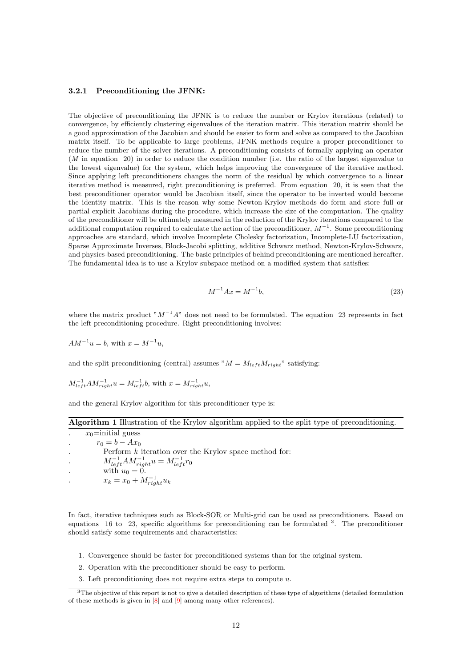#### <span id="page-12-0"></span>3.2.1 Preconditioning the JFNK:

The objective of preconditioning the JFNK is to reduce the number or Krylov iterations (related) to convergence, by efficiently clustering eigenvalues of the iteration matrix. This iteration matrix should be a good approximation of the Jacobian and should be easier to form and solve as compared to the Jacobian matrix itself. To be applicable to large problems, JFNK methods require a proper preconditioner to reduce the number of the solver iterations. A preconditioning consists of formally applying an operator (M in equation [20\)](#page-11-0) in order to reduce the condition number (i.e. the ratio of the largest eigenvalue to the lowest eigenvalue) for the system, which helps improving the convergence of the iterative method. Since applying left preconditioners changes the norm of the residual by which convergence to a linear iterative method is measured, right preconditioning is preferred. From equation [20,](#page-11-0) it is seen that the best preconditioner operator would be Jacobian itself, since the operator to be inverted would become the identity matrix. This is the reason why some Newton-Krylov methods do form and store full or partial explicit Jacobians during the procedure, which increase the size of the computation. The quality of the preconditioner will be ultimately measured in the reduction of the Krylov iterations compared to the additional computation required to calculate the action of the preconditioner,  $M^{-1}$ . Some preconditioning approaches are standard, which involve Incomplete Cholesky factorization, Incomplete-LU factorization, Sparse Approximate Inverses, Block-Jacobi splitting, additive Schwarz method, Newton-Krylov-Schwarz, and physics-based preconditioning. The basic principles of behind preconditioning are mentioned hereafter. The fundamental idea is to use a Krylov subspace method on a modified system that satisfies:

$$
M^{-1}Ax = M^{-1}b,\t\t(23)
$$

<span id="page-12-1"></span>where the matrix product " $M^{-1}A$ " does not need to be formulated. The equation [23](#page-12-1) represents in fact the left preconditioning procedure. Right preconditioning involves:

 $AM^{-1}u = b$ , with  $x = M^{-1}u$ ,

and the split preconditioning (central) assumes " $M = M_{left} M_{right}$ " satisfying:

$$
M_{left}^{-1}AM_{right}^{-1}u = M_{left}^{-1}b
$$
, with  $x = M_{right}^{-1}u$ ,

and the general Krylov algorithm for this preconditioner type is:

| Algorithm 1 Illustration of the Krylov algorithm applied to the split type of preconditioning. |  |  |  |  |  |  |
|------------------------------------------------------------------------------------------------|--|--|--|--|--|--|
|------------------------------------------------------------------------------------------------|--|--|--|--|--|--|

| $x_0$ =initial guess                                    |
|---------------------------------------------------------|
| $r_0 = b - Ax_0$                                        |
| Perform $k$ iteration over the Krylov space method for: |
| $M_{left}^{-1}AM_{right}^{-1}u = M_{left}^{-1}r_0$      |
| with $u_0 = 0$ .                                        |
| $x_k = x_0 + M_{right}^{-1} u_k$                        |

In fact, iterative techniques such as Block-SOR or Multi-grid can be used as preconditioners. Based on equations [16](#page-10-1) to [23,](#page-12-1) specific algorithms for preconditioning can be formulated  $3$ . The preconditioner should satisfy some requirements and characteristics:

- 1. Convergence should be faster for preconditioned systems than for the original system.
- 2. Operation with the preconditioner should be easy to perform.
- <span id="page-12-2"></span>3. Left preconditioning does not require extra steps to compute  $u$ .

<sup>3</sup>The objective of this report is not to give a detailed description of these type of algorithms (detailed formulation of these methods is given in [\[8\]](#page-21-8) and [\[9\]](#page-21-9) among many other references).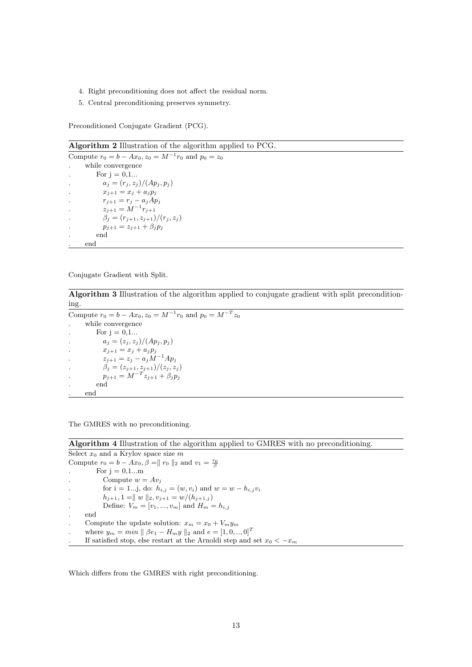- 4. Right preconditioning does not affect the residual norm.
- 5. Central preconditioning preserves symmetry.

Preconditioned Conjugate Gradient (PCG).

Algorithm 2 Illustration of the algorithm applied to PCG.

Compute  $r_0 = b - Ax_0$ ,  $z_0 = M^{-1}r_0$  and  $p_0 = z_0$ . while convergence For  $j = 0,1...$  $a_j = (r_j, z_j)/(Ap_j, p_j)$  $x_{j+1} = x_j + a_j p_j$ .  $r_{j+1} = r_j - a_j A p_j$ .  $z_{j+1} = M^{-1}r_{j+1}$  $\beta_j = (r_{j+1}, z_{j+1})/(r_j, z_j)$  $p_{j+1} = z_{j+1} + \beta_j p_j$ . end . end

Conjugate Gradient with Split.

Algorithm 3 Illustration of the algorithm applied to conjugate gradient with split preconditioning.

Compute  $r_0 = b - Ax_0, z_0 = M^{-1}r_0$  and  $p_0 = M^{-T}z_0$ . while convergence For  $j$  =  $0,1...$  $a_j = (z_j, z_j)/(Ap_j, p_j)$  $x_{j+1} = x_j + a_j p_j$  $z_{j+1} = z_j - a_j M^{-1} Ap_j$ .  $\beta_j = (z_{j+1}, z_{j+1})/(z_j, z_j)$ .  $p_{j+1} = M^{-T} z_{j+1} + \beta_j p_j$ . end . end

The GMRES with no preconditioning.

Algorithm 4 Illustration of the algorithm applied to GMRES with no preconditioning. Select  $x_0$  and a Krylov space size m Compute  $r_0 = b - Ax_0$ ,  $\beta = || r_0 ||_2$  and  $v_1 = \frac{r_0}{\beta}$ For  $j = 0,1...m$ Compute  $w = Av_i$ for i = 1...j, do:  $h_{i,j} = (w, v_i)$  and  $w = w - h_{i,j} v_i$  $h_{j+1}, 1 = || w ||_2, v_{j+1} = w/(h_{j+1,j})$ Define:  $V_m = [v_1, ..., v_m]$  and  $H_m = h_{i,j}$ . end Compute the update solution:  $x_m = x_0 + V_m y_m$ where  $y_m = min \parallel \beta e_1 - H_m y \parallel_2$  and  $e = [1, 0, ..., 0]^T$ If satisfied stop, else restart at the Arnoldi step and set  $x_0 < -x_m$ 

Which differs from the GMRES with right preconditioning.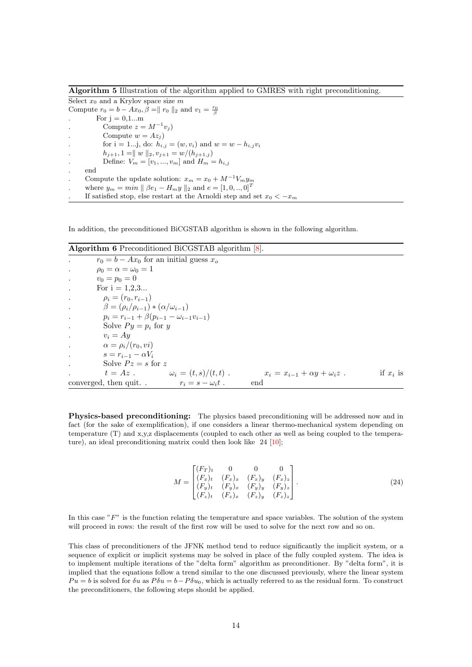Algorithm 5 Illustration of the algorithm applied to GMRES with right preconditioning.

Select  $x_0$  and a Krylov space size m Compute  $r_0 = b - Ax_0$ ,  $\beta = || r_0 ||_2$  and  $v_1 = \frac{r_0}{\beta}$ For  $i = 0, 1...m$ . Compute  $z = M^{-1}v_j$ Compute  $w = Az_i$ ) for i = 1...j, do:  $h_{i,j} = (w, v_i)$  and  $w = w - h_{i,j} v_i$  $h_{j+1}, 1 = || w ||_2, v_{j+1} = w/(h_{j+1,j})$ Define:  $V_m = [v_1, ..., v_m]$  and  $H_m = h_{i,j}$ . end Compute the update solution:  $x_m = x_0 + M^{-1}V_m y_m$ where  $y_m = min \parallel \beta e_1 - H_m y \parallel_2$  and  $e = [1, 0, ..., 0]^T$ If satisfied stop, else restart at the Arnoldi step and set  $x_0 < -x_m$ 

In addition, the preconditioned BiCGSTAB algorithm is shown in the following algorithm.

Algorithm 6 Preconditioned BiCGSTAB algorithm [\[8\]](#page-21-8).  $r_0 = b - Ax_0$  for an initial guess  $x_o$  $\rho_0 = \alpha = \omega_0 = 1$  $v_0 = p_0 = 0$ For  $i = 1, 2, 3...$  $\rho_i = (r_0, r_{i-1})$  $\beta = (\rho_i/\rho_{i-1}) * (\alpha/\omega_{i-1})$  $p_i = r_{i-1} + \beta(p_{i-1} - \omega_{i-1}v_{i-1})$ Solve  $Py = p_i$  for y  $v_i = Ay$  $\alpha = \rho_i/(r_0, vi)$  $s = r_{i-1} - \alpha V_i$ Solve  $Pz = s$  for z  $t = Az$ .  $\omega_i = (t, s)/(t, t)$ .  $x_i = x_{i-1} + \alpha y + \omega_i z$ . if  $x_i$  is converged, then quit. .  $r_i = s - \omega_i t$ . end

<span id="page-14-1"></span><span id="page-14-0"></span>Physics-based preconditioning: The physics based preconditioning will be addressed now and in fact (for the sake of exemplification), if one considers a linear thermo-mechanical system depending on temperature (T) and x,y,z displacements (coupled to each other as well as being coupled to the tempera-ture), an ideal preconditioning matrix could then look like [24](#page-14-1) [\[10\]](#page-21-10);

$$
M = \begin{bmatrix} (F_T)_t & 0 & 0 & 0 \\ (F_x)_t & (F_x)_x & (F_x)_y & (F_x)_z \\ (F_y)_t & (F_y)_x & (F_y)_y & (F_y)_z \\ (F_z)_t & (F_z)_x & (F_z)_y & (F_z)_z \end{bmatrix} .
$$
 (24)

In this case  $F''$  is the function relating the temperature and space variables. The solution of the system will proceed in rows: the result of the first row will be used to solve for the next row and so on.

This class of preconditioners of the JFNK method tend to reduce significantly the implicit system, or a sequence of explicit or implicit systems may be solved in place of the fully coupled system. The idea is to implement multiple iterations of the "delta form" algorithm as preconditioner. By "delta form", it is implied that the equations follow a trend similar to the one discussed previously, where the linear system  $Pu = b$  is solved for  $\delta u$  as  $P\delta u = b - P\delta u_0$ , which is actually referred to as the residual form. To construct the preconditioners, the following steps should be applied.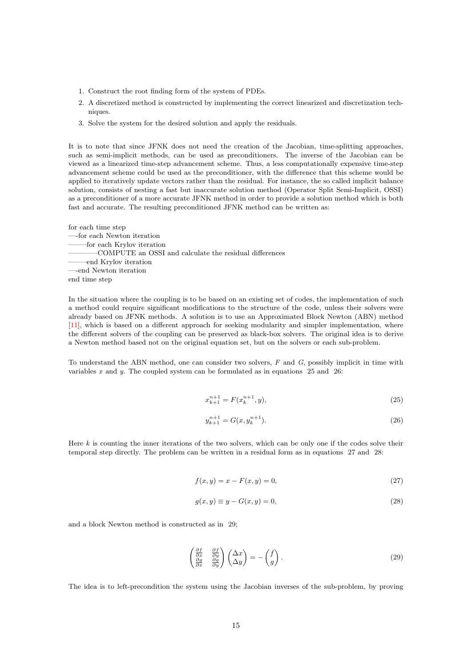- 1. Construct the root finding form of the system of PDEs.
- 2. A discretized method is constructed by implementing the correct linearized and discretization techniques.
- 3. Solve the system for the desired solution and apply the residuals.

It is to note that since JFNK does not need the creation of the Jacobian, time-splitting approaches, such as semi-implicit methods, can be used as preconditioners. The inverse of the Jacobian can be viewed as a linearized time-step advancement scheme. Thus, a less computationally expensive time-step advancement scheme could be used as the preconditioner, with the difference that this scheme would be applied to iteratively update vectors rather than the residual. For instance, the so called implicit balance solution, consists of nesting a fast but inaccurate solution method (Operator Split Semi-Implicit, OSSI) as a preconditioner of a more accurate JFNK method in order to provide a solution method which is both fast and accurate. The resulting preconditioned JFNK method can be written as:

for each time step —-for each Newton iteration ——–for each Krylov iteration ————COMPUTE an OSSI and calculate the residual differences ——–end Krylov iteration —-end Newton iteration end time step

In the situation where the coupling is to be based on an existing set of codes, the implementation of such a method could require significant modifications to the structure of the code, unless their solvers were already based on JFNK methods. A solution is to use an Approximated Block Newton (ABN) method [\[11\]](#page-21-11), which is based on a different approach for seeking modularity and simpler implementation, where the different solvers of the coupling can be preserved as black-box solvers. The original idea is to derive a Newton method based not on the original equation set, but on the solvers or each sub-problem.

<span id="page-15-0"></span>To understand the ABN method, one can consider two solvers, F and G, possibly implicit in time with variables  $x$  and  $y$ . The coupled system can be formulated as in equations [25](#page-15-0) and [26:](#page-15-1)

$$
x_{k+1}^{n+1} = F(x_k^{n+1}, y),\tag{25}
$$

$$
y_{k+1}^{n+1} = G(x, y_k^{n+1}).
$$
\n(26)

<span id="page-15-2"></span><span id="page-15-1"></span>Here  $k$  is counting the inner iterations of the two solvers, which can be only one if the codes solve their temporal step directly. The problem can be written in a residual form as in equations [27](#page-15-2) and [28:](#page-15-3)

$$
f(x, y) = x - F(x, y) = 0,\t(27)
$$

$$
g(x, y) \equiv y - G(x, y) = 0,\tag{28}
$$

<span id="page-15-4"></span><span id="page-15-3"></span>and a block Newton method is constructed as in [29;](#page-15-4)

$$
\begin{pmatrix}\n\frac{\partial f}{\partial x} & \frac{\partial f}{\partial y} \\
\frac{\partial g}{\partial x} & \frac{\partial g}{\partial y}\n\end{pmatrix}\n\begin{pmatrix}\n\Delta x \\
\Delta y\n\end{pmatrix} = -\begin{pmatrix} f \\
g \end{pmatrix}.
$$
\n(29)

The idea is to left-precondition the system using the Jacobian inverses of the sub-problem, by proving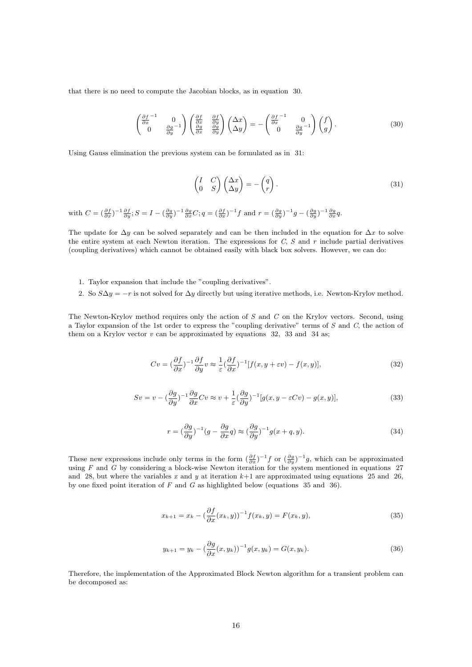<span id="page-16-0"></span>that there is no need to compute the Jacobian blocks, as in equation [30.](#page-16-0)

$$
\begin{pmatrix}\n\frac{\partial f}{\partial x}^{-1} & 0 \\
0 & \frac{\partial g}{\partial y}^{-1}\n\end{pmatrix}\n\begin{pmatrix}\n\frac{\partial f}{\partial x} & \frac{\partial f}{\partial y} \\
\frac{\partial g}{\partial x} & \frac{\partial g}{\partial y}\n\end{pmatrix}\n\begin{pmatrix}\n\Delta x \\
\Delta y\n\end{pmatrix} = -\begin{pmatrix}\n\frac{\partial f}{\partial x}^{-1} & 0 \\
0 & \frac{\partial g}{\partial y}^{-1}\n\end{pmatrix}\n\begin{pmatrix}\nf \\
g\n\end{pmatrix}.
$$
\n(30)

<span id="page-16-1"></span>Using Gauss elimination the previous system can be formulated as in [31:](#page-16-1)

$$
\begin{pmatrix} I & C \\ 0 & S \end{pmatrix} \begin{pmatrix} \Delta x \\ \Delta y \end{pmatrix} = -\begin{pmatrix} q \\ r \end{pmatrix}.
$$
 (31)

with  $C = \left(\frac{\partial f}{\partial x}\right)^{-1} \frac{\partial f}{\partial y}$ ;  $S = I - \left(\frac{\partial g}{\partial y}\right)^{-1} \frac{\partial g}{\partial x} C$ ;  $q = \left(\frac{\partial f}{\partial x}\right)^{-1} f$  and  $r = \left(\frac{\partial g}{\partial y}\right)^{-1} g - \left(\frac{\partial g}{\partial y}\right)^{-1} \frac{\partial g}{\partial x} q$ .

The update for  $\Delta y$  can be solved separately and can be then included in the equation for  $\Delta x$  to solve the entire system at each Newton iteration. The expressions for  $C, S$  and  $r$  include partial derivatives (coupling derivatives) which cannot be obtained easily with black box solvers. However, we can do:

- 1. Taylor expansion that include the "coupling derivatives".
- 2. So  $S\Delta y = -r$  is not solved for  $\Delta y$  directly but using iterative methods, i.e. Newton-Krylov method.

<span id="page-16-3"></span><span id="page-16-2"></span>The Newton-Krylov method requires only the action of S and C on the Krylov vectors. Second, using a Taylor expansion of the 1st order to express the "coupling derivative" terms of  $S$  and  $C$ , the action of them on a Krylov vector  $v$  can be approximated by equations [32,](#page-16-2) [33](#page-16-3) and [34](#page-16-4) as;

$$
Cv = \left(\frac{\partial f}{\partial x}\right)^{-1} \frac{\partial f}{\partial y} v \approx \frac{1}{\varepsilon} \left(\frac{\partial f}{\partial x}\right)^{-1} [f(x, y + \varepsilon v) - f(x, y)],\tag{32}
$$

$$
Sv = v - \left(\frac{\partial g}{\partial y}\right)^{-1} \frac{\partial g}{\partial x} Cv \approx v + \frac{1}{\varepsilon} \left(\frac{\partial g}{\partial y}\right)^{-1} [g(x, y - \varepsilon Cv) - g(x, y)],\tag{33}
$$

$$
r = \left(\frac{\partial g}{\partial y}\right)^{-1} \left(g - \frac{\partial g}{\partial x}q\right) \approx \left(\frac{\partial g}{\partial y}\right)^{-1} g(x + q, y). \tag{34}
$$

<span id="page-16-5"></span><span id="page-16-4"></span>These new expressions include only terms in the form  $(\frac{\partial f}{\partial x})^{-1} f$  or  $(\frac{\partial g}{\partial y})^{-1} g$ , which can be approximated using  $F$  and  $G$  by considering a block-wise Newton iteration for the system mentioned in equations [27](#page-15-2) and [28,](#page-15-3) but where the variables x and y at iteration  $k+1$  are approximated using equations [25](#page-15-0) and [26,](#page-15-1) by one fixed point iteration of  $F$  and  $G$  as highlighted below (equations [35](#page-16-5) and [36\)](#page-16-6).

$$
x_{k+1} = x_k - \left(\frac{\partial f}{\partial x}(x_k, y)\right)^{-1} f(x_k, y) = F(x_k, y),\tag{35}
$$

$$
y_{k+1} = y_k - \left(\frac{\partial g}{\partial x}(x, y_k)\right)^{-1} g(x, y_k) = G(x, y_k). \tag{36}
$$

<span id="page-16-6"></span>Therefore, the implementation of the Approximated Block Newton algorithm for a transient problem can be decomposed as: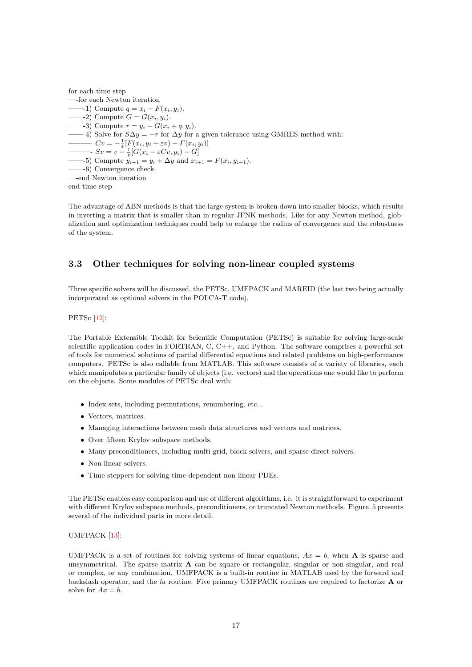for each time step —-for each Newton iteration —–1) Compute  $q = x_i - F(x_i, y_i)$ .  $-2$ ) Compute  $G = G(x_i, y_i)$ . —3) Compute  $r = y_i - G(x_i + q, y_i)$ . —4) Solve for  $S\Delta y = -r$  for  $\Delta y$  for a given tolerance using GMRES method with:  $\overline{\phantom{a}}$   $Cv = -\frac{1}{\varepsilon} [F(x_i, y_i + \varepsilon v) - F(x_i, y_i)]$  $\longrightarrow Sv = v - \frac{1}{\varepsilon} [G(x_i - \varepsilon Cv, y_i) - G]$ —5) Compute  $y_{i+1} = y_i + \Delta y$  and  $x_{i+1} = F(x_i, y_{i+1})$ . ——-6) Convergence check. —-end Newton iteration end time step

The advantage of ABN methods is that the large system is broken down into smaller blocks, which results in inverting a matrix that is smaller than in regular JFNK methods. Like for any Newton method, globalization and optimization techniques could help to enlarge the radius of convergence and the robustness of the system.

#### <span id="page-17-0"></span>3.3 Other techniques for solving non-linear coupled systems

Three specific solvers will be discussed, the PETSc, UMFPACK and MAREID (the last two being actually incorporated as optional solvers in the POLCA-T code).

PETSc [\[12\]](#page-21-1):

The Portable Extensible Toolkit for Scientific Computation (PETSc) is suitable for solving large-scale scientific application codes in FORTRAN,  $C, C++,$  and Python. The software comprises a powerful set of tools for numerical solutions of partial differential equations and related problems on high-performance computers. PETSc is also callable from MATLAB. This software consists of a variety of libraries, each which manipulates a particular family of objects (i.e. vectors) and the operations one would like to perform on the objects. Some modules of PETSc deal with:

- Index sets, including permutations, renumbering, etc...
- Vectors, matrices.
- Managing interactions between mesh data structures and vectors and matrices.
- Over fifteen Krylov subspace methods.
- Many preconditioners, including multi-grid, block solvers, and sparse direct solvers.
- Non-linear solvers.
- Time steppers for solving time-dependent non-linear PDEs.

The PETSc enables easy comparison and use of different algorithms, i.e. it is straightforward to experiment with different Krylov subspace methods, preconditioners, or truncated Newton methods. Figure [5](#page-18-0) presents several of the individual parts in more detail.

#### UMFPACK [\[13\]](#page-21-12):

UMFPACK is a set of routines for solving systems of linear equations,  $Ax = b$ , when **A** is sparse and unsymmetrical. The sparse matrix  $\bf{A}$  can be square or rectangular, singular or non-singular, and real or complex, or any combination. UMFPACK is a built-in routine in MATLAB used by the forward and backslash operator, and the lu routine. Five primary UMFPACK routines are required to factorize A or solve for  $Ax = b$ .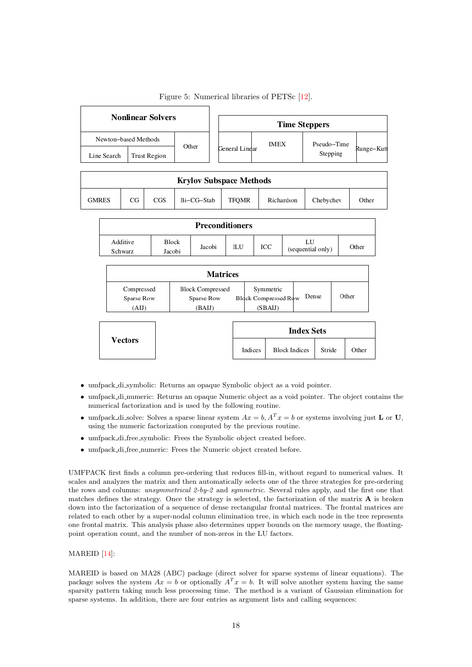<span id="page-18-0"></span>

|                      |    | <b>Nonlinear Solvers</b> |            |                                |             | <b>Time Steppers</b> |            |
|----------------------|----|--------------------------|------------|--------------------------------|-------------|----------------------|------------|
| Newton-based Methods |    |                          | Other      |                                | <b>IMEX</b> | Pseudo-Time          |            |
| Line Search          |    | Trust Region             |            | General Lindar                 |             | Stepping             | Runge–Kuti |
|                      |    |                          |            |                                |             |                      |            |
|                      |    |                          |            | <b>Krylov Subspace Methods</b> |             |                      |            |
| <b>GMRES</b>         | CG | CGS                      | Bi-CG-Stab | TFOMR                          | Richardson  | Chebychev            | Other      |
|                      |    |                          |            | <b>Preconditioners</b>         |             |                      |            |
|                      |    |                          |            |                                |             |                      |            |

Figure 5: Numerical libraries of PETSc [\[12\]](#page-21-1).

| Compressed<br>Sparse Row<br>(AIJ) | <b>Block Compressed</b><br>Sparse Row<br>(BAIJ) |  | Symmetric<br><b>Block Compressed Row</b><br>(SBAIJ) |  | Dense | Other |
|-----------------------------------|-------------------------------------------------|--|-----------------------------------------------------|--|-------|-------|

ILU

ICC

 ${\rm LU}$ 

(sequential only)

Other

|         |         | <b>Index Sets</b>    |        |       |
|---------|---------|----------------------|--------|-------|
| Vectors | Indices | <b>Block Indices</b> | Stride | Other |

• umfpack\_di\_symbolic: Returns an opaque Symbolic object as a void pointer.

Jacobi

- umfpack\_di\_numeric: Returns an opaque Numeric object as a void pointer. The object contains the numerical factorization and is used by the following routine.
- umfpack di solve: Solves a sparse linear system  $Ax = b$ ,  $A^T x = b$  or systems involving just **L** or **U**, using the numeric factorization computed by the previous routine.
- umfpack di free symbolic: Frees the Symbolic object created before.
- umfpack\_di\_free\_numeric: Frees the Numeric object created before.

UMFPACK first finds a column pre-ordering that reduces fill-in, without regard to numerical values. It scales and analyzes the matrix and then automatically selects one of the three strategies for pre-ordering the rows and columns: unsymmetrical 2-by-2 and symmetric. Several rules apply, and the first one that matches defines the strategy. Once the strategy is selected, the factorization of the matrix A is broken down into the factorization of a sequence of dense rectangular frontal matrices. The frontal matrices are related to each other by a super-nodal column elimination tree, in which each node in the tree represents one frontal matrix. This analysis phase also determines upper bounds on the memory usage, the floatingpoint operation count, and the number of non-zeros in the LU factors.

#### MAREID [\[14\]](#page-21-13):

Additive

Schwarz

Block

Jacobi

MAREID is based on MA28 (ABC) package (direct solver for sparse systems of linear equations). The package solves the system  $Ax = b$  or optionally  $A^T x = b$ . It will solve another system having the same sparsity pattern taking much less processing time. The method is a variant of Gaussian elimination for sparse systems. In addition, there are four entries as argument lists and calling sequences: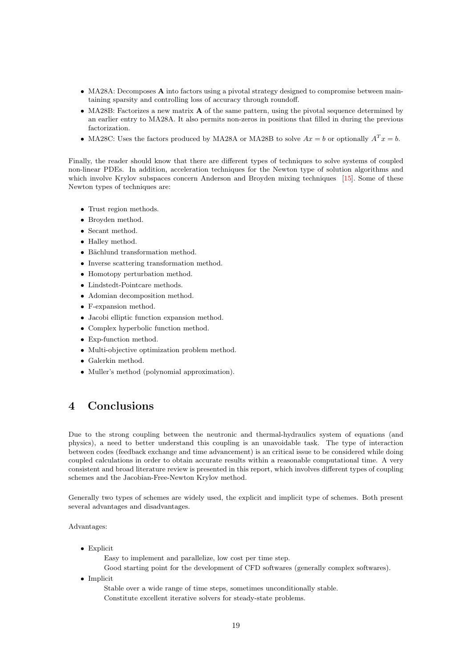- MA28A: Decomposes **A** into factors using a pivotal strategy designed to compromise between maintaining sparsity and controlling loss of accuracy through roundoff.
- MA28B: Factorizes a new matrix **A** of the same pattern, using the pivotal sequence determined by an earlier entry to MA28A. It also permits non-zeros in positions that filled in during the previous factorization.
- MA28C: Uses the factors produced by MA28A or MA28B to solve  $Ax = b$  or optionally  $A^T x = b$ .

Finally, the reader should know that there are different types of techniques to solve systems of coupled non-linear PDEs. In addition, acceleration techniques for the Newton type of solution algorithms and which involve Krylov subspaces concern Anderson and Broyden mixing techniques [\[15\]](#page-21-14). Some of these Newton types of techniques are:

- Trust region methods.
- Broyden method.
- Secant method.
- Halley method.
- $\bullet$  Bächlund transformation method.
- Inverse scattering transformation method.
- Homotopy perturbation method.
- Lindstedt-Pointcare methods.
- Adomian decomposition method.
- F-expansion method.
- Jacobi elliptic function expansion method.
- Complex hyperbolic function method.
- Exp-function method.
- Multi-objective optimization problem method.
- Galerkin method.
- Muller's method (polynomial approximation).

## <span id="page-19-0"></span>4 Conclusions

Due to the strong coupling between the neutronic and thermal-hydraulics system of equations (and physics), a need to better understand this coupling is an unavoidable task. The type of interaction between codes (feedback exchange and time advancement) is an critical issue to be considered while doing coupled calculations in order to obtain accurate results within a reasonable computational time. A very consistent and broad literature review is presented in this report, which involves different types of coupling schemes and the Jacobian-Free-Newton Krylov method.

Generally two types of schemes are widely used, the explicit and implicit type of schemes. Both present several advantages and disadvantages.

Advantages:

• Explicit

Easy to implement and parallelize, low cost per time step.

Good starting point for the development of CFD softwares (generally complex softwares).

• Implicit

Stable over a wide range of time steps, sometimes unconditionally stable. Constitute excellent iterative solvers for steady-state problems.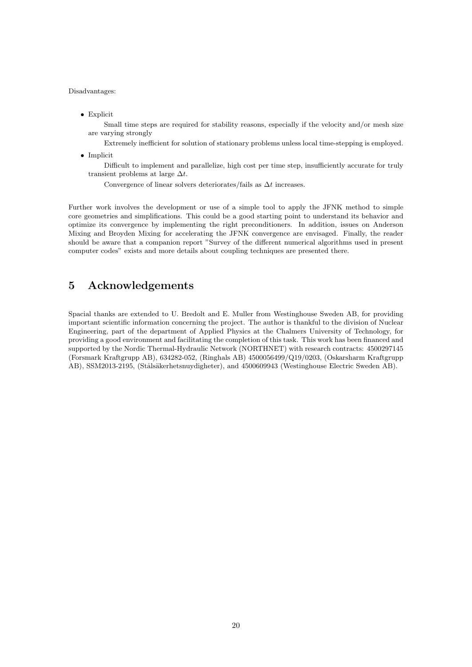#### Disadvantages:

• Explicit

Small time steps are required for stability reasons, especially if the velocity and/or mesh size are varying strongly

Extremely inefficient for solution of stationary problems unless local time-stepping is employed.

• Implicit

Difficult to implement and parallelize, high cost per time step, insufficiently accurate for truly transient problems at large  $\Delta t$ .

Convergence of linear solvers deteriorates/fails as  $\Delta t$  increases.

Further work involves the development or use of a simple tool to apply the JFNK method to simple core geometries and simplifications. This could be a good starting point to understand its behavior and optimize its convergence by implementing the right preconditioners. In addition, issues on Anderson Mixing and Broyden Mixing for accelerating the JFNK convergence are envisaged. Finally, the reader should be aware that a companion report "Survey of the different numerical algorithms used in present computer codes" exists and more details about coupling techniques are presented there.

## <span id="page-20-0"></span>5 Acknowledgements

Spacial thanks are extended to U. Bredolt and E. Muller from Westinghouse Sweden AB, for providing important scientific information concerning the project. The author is thankful to the division of Nuclear Engineering, part of the department of Applied Physics at the Chalmers University of Technology, for providing a good environment and facilitating the completion of this task. This work has been financed and supported by the Nordic Thermal-Hydraulic Network (NORTHNET) with research contracts: 4500297145 (Forsmark Kraftgrupp AB), 634282-052, (Ringhals AB) 4500056499/Q19/0203, (Oskarsharm Kraftgrupp AB), SSM2013-2195, (Stålsäkerhetsnuydigheter), and 4500609943 (Westinghouse Electric Sweden AB).